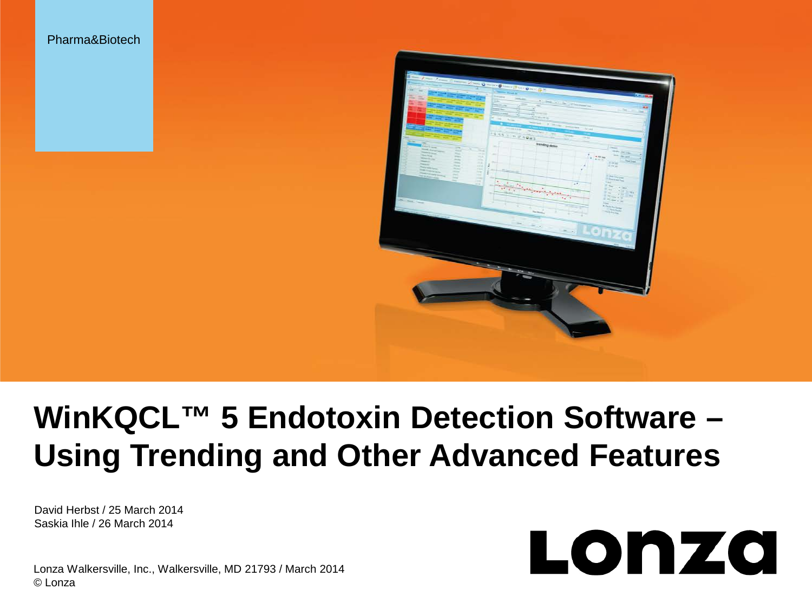



# **WinKQCL™ 5 Endotoxin Detection Software – Using Trending and Other Advanced Features** Pharma&Biotech<br>David Herbst / 25 March 2014

Saskia Ihle / 26 March 2014

Lonza

Lonza Walkersville, Inc., Walkersville, MD 21793 / March 2014 © Lonza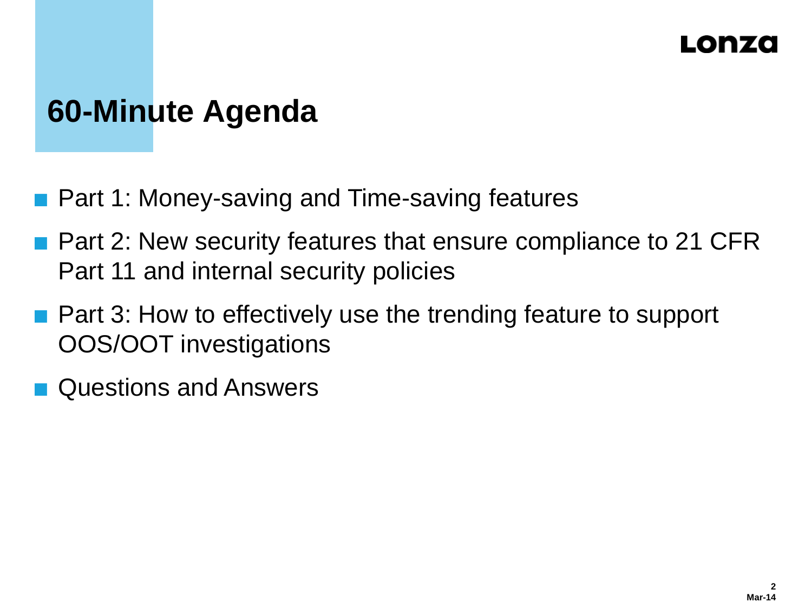#### Lonzó

# **60-Minute Agenda**

- Part 1: Money-saving and Time-saving features
- **Part 2: New security features that ensure compliance to 21 CFR** Part 11 and internal security policies
- **Part 3: How to effectively use the trending feature to support** OOS/OOT investigations
- Questions and Answers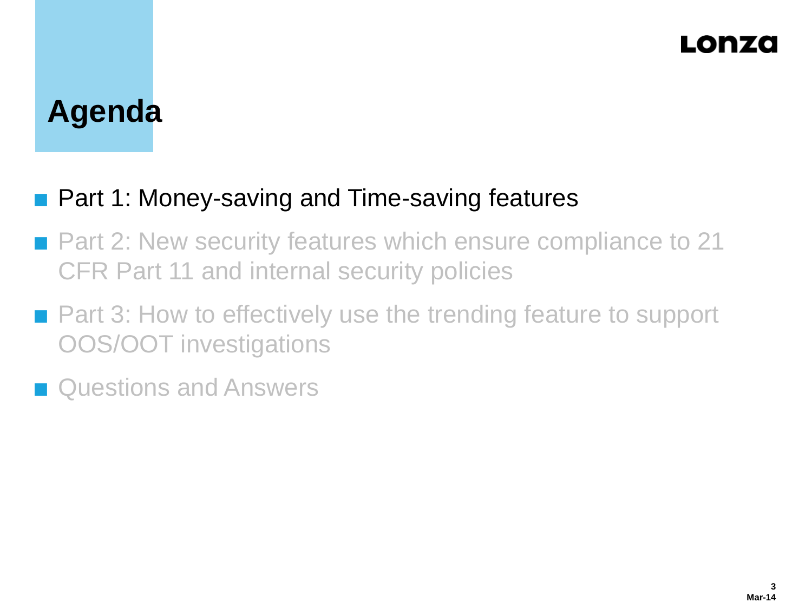### LONZO

# **Agenda**

#### ■ Part 1: Money-saving and Time-saving features

- Part 2: New security features which ensure compliance to 21 CFR Part 11 and internal security policies
- Part 3: How to effectively use the trending feature to support OOS/OOT investigations
- **n** Questions and Answers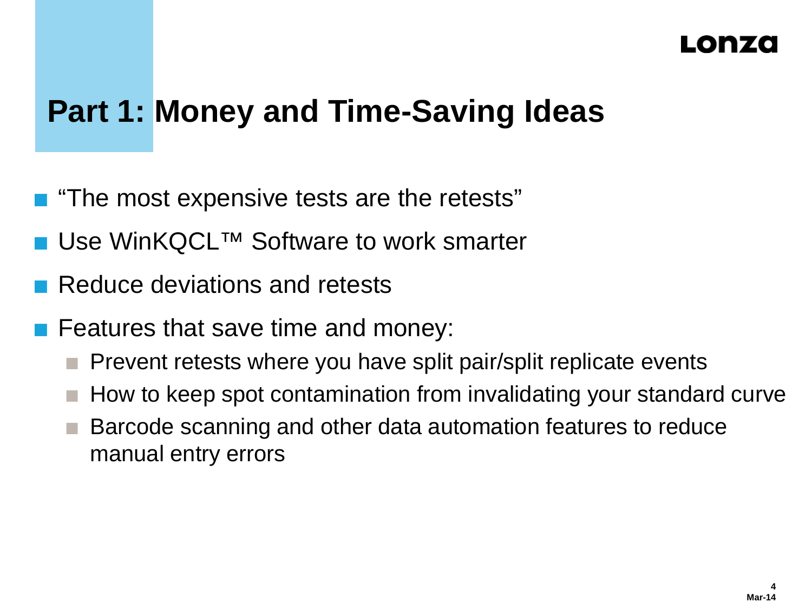#### I TO RIZAO

# **Part 1: Money and Time-Saving Ideas**

- "The most expensive tests are the retests"
- Use WinKQCL<sup>™</sup> Software to work smarter
- Reduce deviations and retests
- Features that save time and money:
	- Prevent retests where you have split pair/split replicate events
	- How to keep spot contamination from invalidating your standard curve
	- Barcode scanning and other data automation features to reduce manual entry errors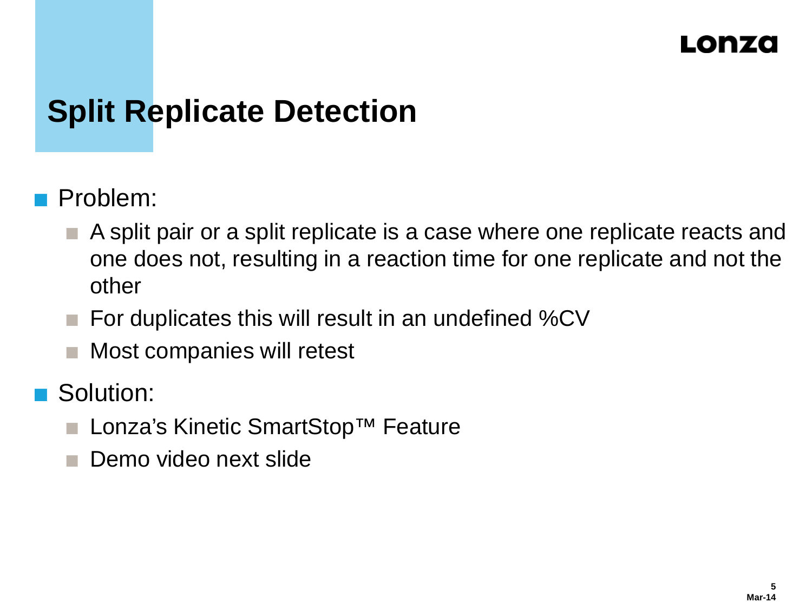# **Split Replicate Detection**

- Problem:
	- A split pair or a split replicate is a case where one replicate reacts and one does not, resulting in a reaction time for one replicate and not the other
	- For duplicates this will result in an undefined %CV
	- Most companies will retest
- Solution:
	- Lonza's Kinetic SmartStop™ Feature
	- Demo video next slide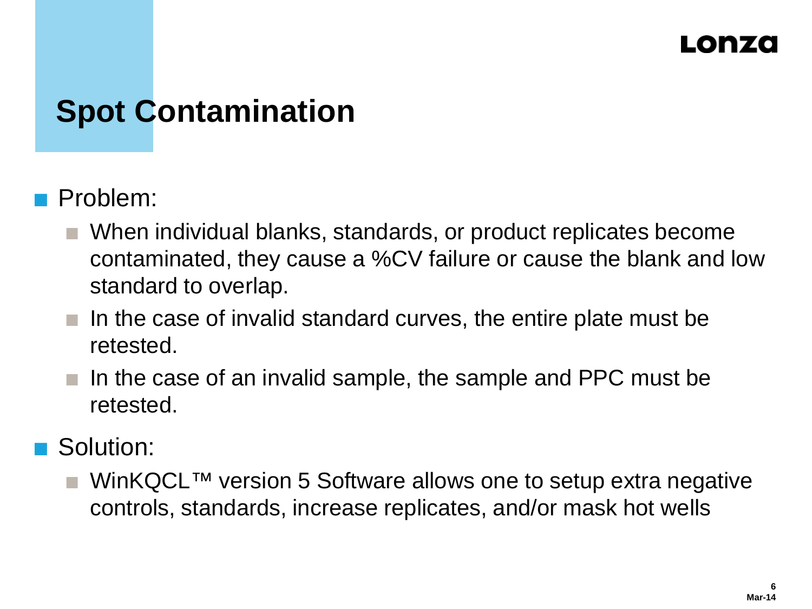# **Spot Contamination**

#### Problem:

- When individual blanks, standards, or product replicates become contaminated, they cause a %CV failure or cause the blank and low standard to overlap.
- In the case of invalid standard curves, the entire plate must be retested.
- In the case of an invalid sample, the sample and PPC must be retested.

#### Solution:

 WinKQCL™ version 5 Software allows one to setup extra negative controls, standards, increase replicates, and/or mask hot wells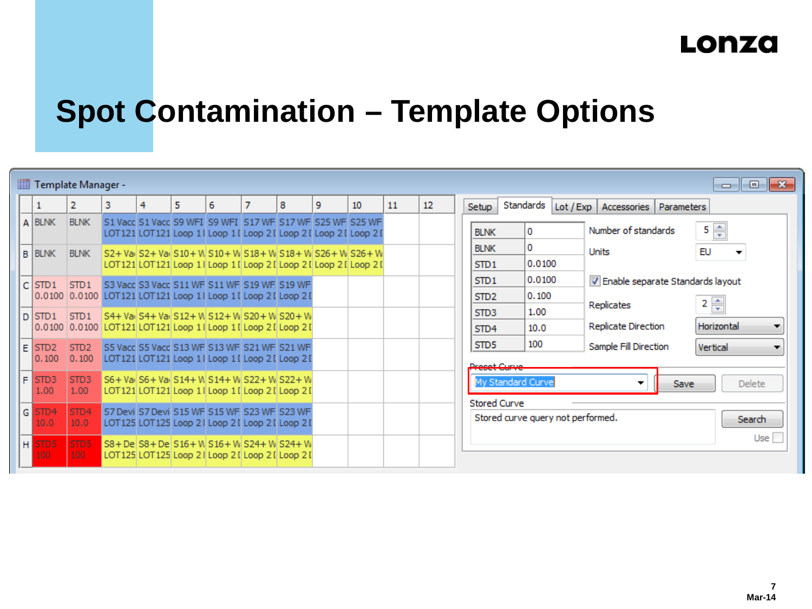# **Spot Contamination – Template Options**

|              | Template Manager -<br>$\begin{array}{c c c c c} \hline \multicolumn{3}{c }{\mathbf{C}} & \multicolumn{3}{c }{\mathbf{C}} & \multicolumn{3}{c }{\mathbf{X}} \\\hline \multicolumn{3}{c }{\mathbf{C}} & \multicolumn{3}{c }{\mathbf{C}} & \multicolumn{3}{c }{\mathbf{S}} & \multicolumn{3}{c }{\mathbf{X}} \\\hline \multicolumn{3}{c }{\mathbf{C}} & \multicolumn{3}{c }{\mathbf{C}} & \multicolumn{3}{c }{\mathbf{S}} & \multicolumn{3}{c }{\mathbf{S}} \\\hline \multicolumn{3$ |                           |   |   |   |   |                                                                                                                                |   |   |    |    |    |                                                                    |                 |                                      |                                    |
|--------------|-----------------------------------------------------------------------------------------------------------------------------------------------------------------------------------------------------------------------------------------------------------------------------------------------------------------------------------------------------------------------------------------------------------------------------------------------------------------------------------|---------------------------|---|---|---|---|--------------------------------------------------------------------------------------------------------------------------------|---|---|----|----|----|--------------------------------------------------------------------|-----------------|--------------------------------------|------------------------------------|
|              |                                                                                                                                                                                                                                                                                                                                                                                                                                                                                   | 2                         | 3 | 4 | 5 | 6 | 7                                                                                                                              | 8 | 9 | 10 | 11 | 12 | Setup                                                              | Standards       | Lot / Exp   Accessories   Parameters |                                    |
|              | A BLNK                                                                                                                                                                                                                                                                                                                                                                                                                                                                            | <b>BLNK</b>               |   |   |   |   | S1 Vacc S1 Vacc S9 WFI S9 WFI S17 WF S17 WF S25 WF S25 WF<br>LOT121 LOT121 Loop 11 Loop 11 Loop 21 Loop 21 Loop 21 Loop 21     |   |   |    |    |    | <b>BLNK</b>                                                        | 0               | Number of standards                  | $5\frac{4}{3}$                     |
|              | <b>B</b> BLNK                                                                                                                                                                                                                                                                                                                                                                                                                                                                     | <b>BLNK</b>               |   |   |   |   | S2+ Vai S2+ Vai S10+ W S10+ W S18+ W S18+ W S26+ W S26+ W<br>LOT121 LOT121 Loop 1   Loop 1   Loop 2   Loop 2   Loop 2   Loop 2 |   |   |    |    |    | <b>BLNK</b><br>STD <sub>1</sub>                                    | 0<br>0.0100     | <b>Units</b>                         | EU                                 |
|              | $C$ STD1                                                                                                                                                                                                                                                                                                                                                                                                                                                                          | STD <sub>1</sub>          |   |   |   |   | 53 Vacc 53 Vacc 511 WF 511 WF 519 WF 519 WF<br>0.0100 0.0100 LOT121 LOT121 Loop 11 Loop 11 Loop 21 Loop 21                     |   |   |    |    |    | STD <sub>1</sub><br>STD <sub>2</sub>                               | 0.0100<br>0.100 | V Enable separate Standards layout   |                                    |
|              | l D I STD 1                                                                                                                                                                                                                                                                                                                                                                                                                                                                       | STD <sub>1</sub>          |   |   |   |   | S4+ Vail S4+ Vail S12+ W S12+ W S20+ W S20+ W<br>0.0100 0.0100 LOT121 LOT121 Loop 11 Loop 11 Loop 21 Loop 21                   |   |   |    |    |    | STD <sub>3</sub><br>ST <sub>D</sub> 4                              | 1.00<br>10.0    | Replicates<br>Replicate Direction    | $2 \frac{A}{r}$<br>Horizontal<br>▼ |
| F            | STD <sub>2</sub><br>0.100                                                                                                                                                                                                                                                                                                                                                                                                                                                         | STD <sub>2</sub><br>0.100 |   |   |   |   | S5 Vacc S5 Vacc S13 WF S13 WF S21 WF S21 WF<br>LOT121 LOT121 Loop 11 Loop 11 Loop 21 Loop 21                                   |   |   |    |    |    | STD <sub>5</sub><br>Preset Curve                                   | 100             | Sample Fill Direction                | Vertical                           |
| F            | STD <sub>3</sub><br>1.00                                                                                                                                                                                                                                                                                                                                                                                                                                                          | STD <sub>3</sub><br>1.00  |   |   |   |   | S6+ Vail S6+ Vail S14+ W S14+ W S22+ W S22+ W<br>LOT121 LOT121 Loop 11 Loop 11 Loop 21 Loop 21                                 |   |   |    |    |    | My Standard Curve                                                  |                 | Save                                 | <b>Delete</b>                      |
| $\mathsf{G}$ | STD4<br>10.0                                                                                                                                                                                                                                                                                                                                                                                                                                                                      | STD4<br>10.0              |   |   |   |   | S7 Devi S7 Devi S15 WF S15 WF S23 WF S23 WF<br>LOT125 LOT125 Loop 21 Loop 21 Loop 21 Loop 21                                   |   |   |    |    |    | <b>Stored Curve</b><br>Stored curve query not performed.<br>Search |                 |                                      |                                    |
| H            | TD <sub>5</sub><br>00                                                                                                                                                                                                                                                                                                                                                                                                                                                             | STD5<br>100               |   |   |   |   | l S8+ Del S8+ Del S16+ W S16+ W S24+ W S24+ W<br>LOT125 LOT125 Loop 21 Loop 21 Loop 21 Loop 21                                 |   |   |    |    |    |                                                                    |                 |                                      | Use                                |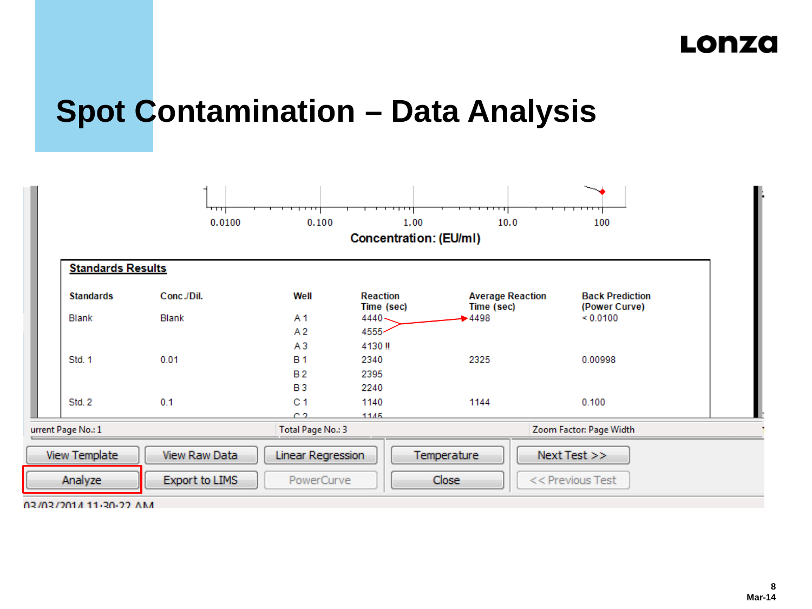# **Spot Contamination – Data Analysis**

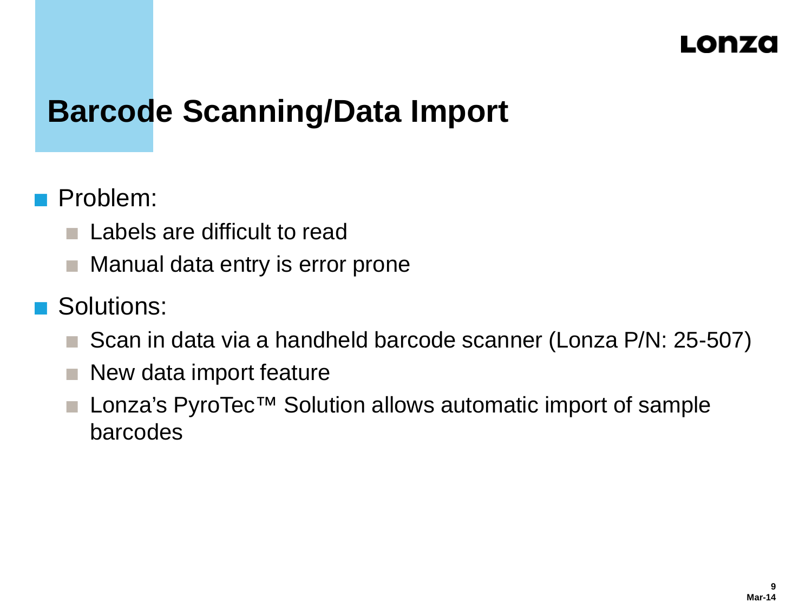# **Barcode Scanning/Data Import**

#### **Problem:**

- **Labels are difficult to read**
- **Manual data entry is error prone**

#### Solutions:

- Scan in data via a handheld barcode scanner (Lonza P/N: 25-507)
- $\blacksquare$  New data import feature
- Lonza's PyroTec<sup>™</sup> Solution allows automatic import of sample barcodes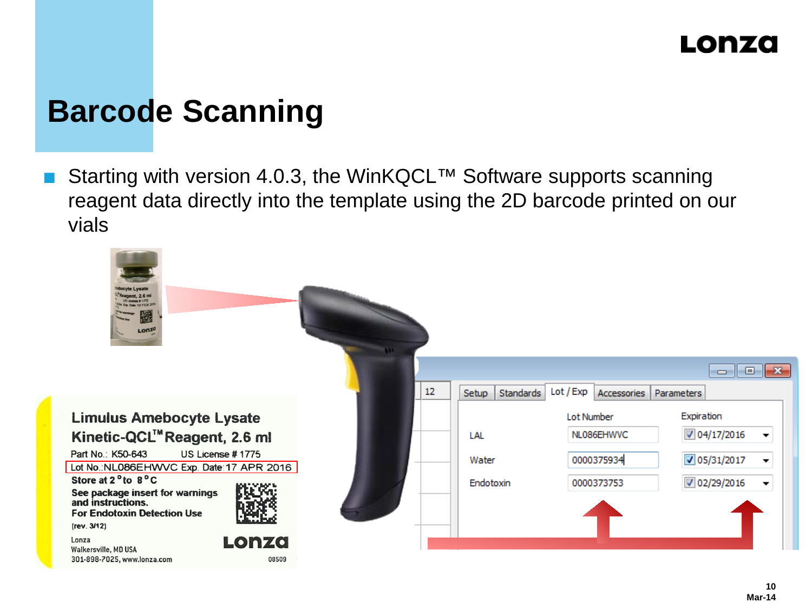# **Barcode Scanning**

Starting with version 4.0.3, the WinKQCL™ Software supports scanning reagent data directly into the template using the 2D barcode printed on our vials

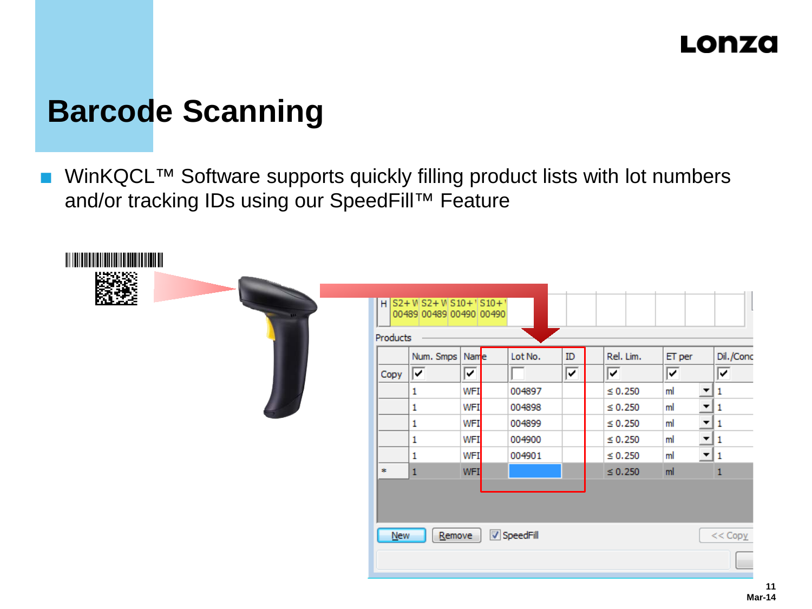# **Barcode Scanning**

WinKQCL™ Software supports quickly filling product lists with lot numbers and/or tracking IDs using our SpeedFill™ Feature

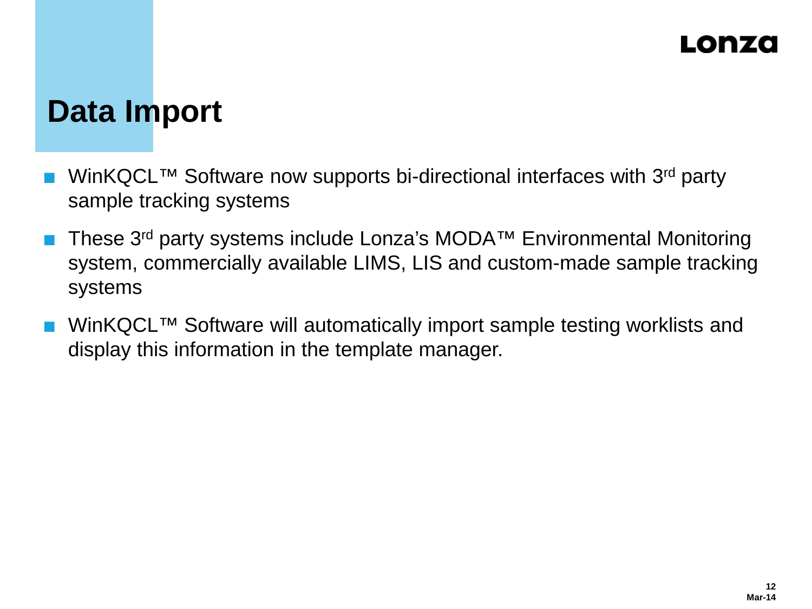# **Data Import**

- WinKQCL™ Software now supports bi-directional interfaces with 3<sup>rd</sup> party sample tracking systems
- These 3rd party systems include Lonza's MODA™ Environmental Monitoring system, commercially available LIMS, LIS and custom-made sample tracking systems
- WinKQCL™ Software will automatically import sample testing worklists and display this information in the template manager.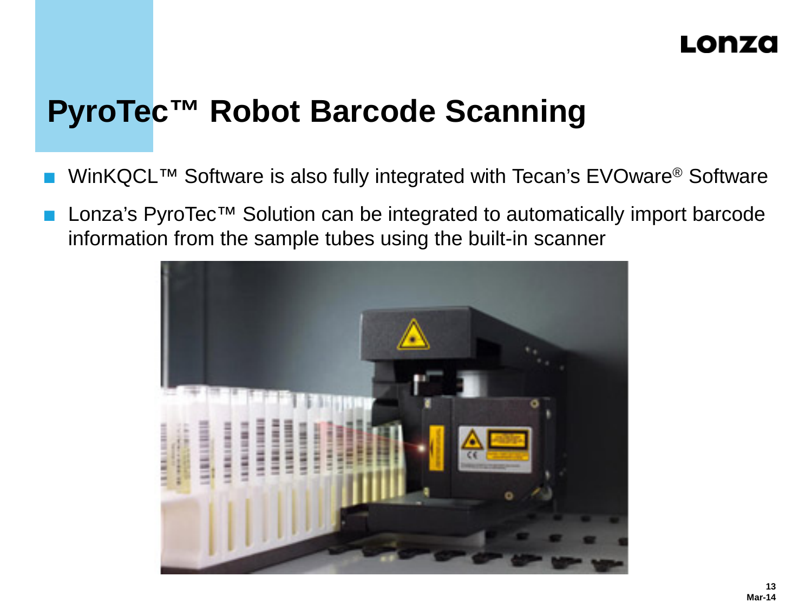# **PyroTec™ Robot Barcode Scanning**

- WinKQCL™ Software is also fully integrated with Tecan's EVOware® Software
- Lonza's PyroTec<sup>™</sup> Solution can be integrated to automatically import barcode information from the sample tubes using the built-in scanner

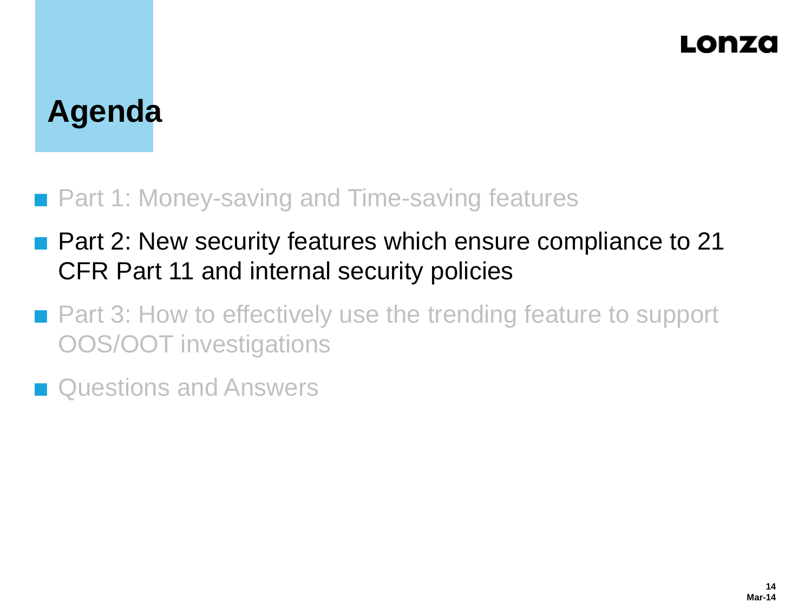### Lonzo

# **Agenda**

#### ■ Part 1: Money-saving and Time-saving features

- **Part 2: New security features which ensure compliance to 21** CFR Part 11 and internal security policies
- Part 3: How to effectively use the trending feature to support OOS/OOT investigations
- **n** Questions and Answers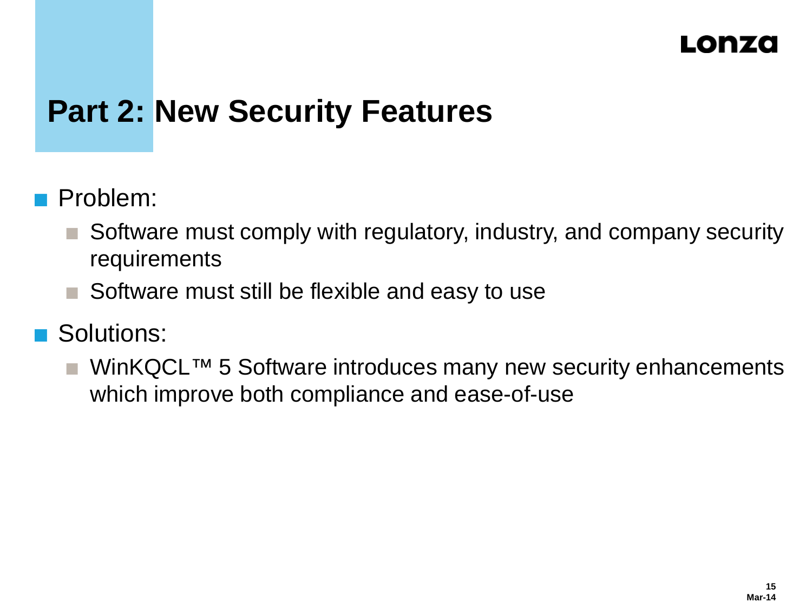# **Part 2: New Security Features**

- Problem:
	- Software must comply with regulatory, industry, and company security requirements
	- Software must still be flexible and easy to use
- Solutions:
	- WinKQCL™ 5 Software introduces many new security enhancements which improve both compliance and ease-of-use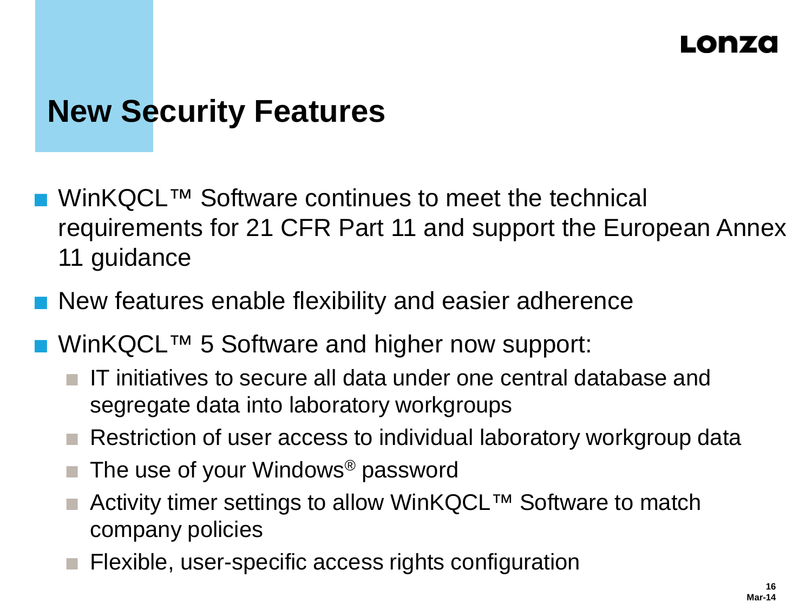### Lonzo

# **New Security Features**

- WinKQCL<sup>™</sup> Software continues to meet the technical requirements for 21 CFR Part 11 and support the European Annex 11 guidance
- **New features enable flexibility and easier adherence**
- WinKQCL™ 5 Software and higher now support:
	- IT initiatives to secure all data under one central database and segregate data into laboratory workgroups
	- Restriction of user access to individual laboratory workgroup data
	- The use of your Windows® password
	- Activity timer settings to allow WinKQCL™ Software to match company policies
	- Flexible, user-specific access rights configuration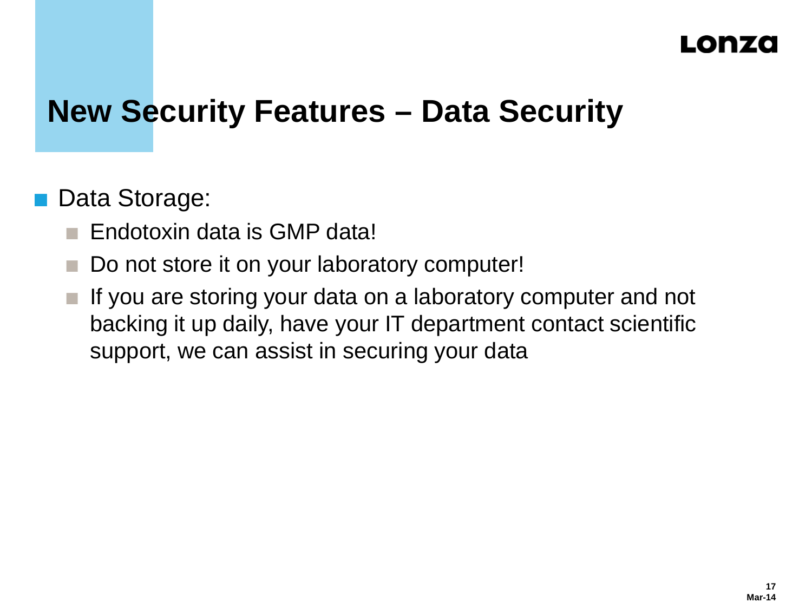# **New Security Features – Data Security**

#### Data Storage:

- Endotoxin data is GMP data!
- Do not store it on your laboratory computer!
- If you are storing your data on a laboratory computer and not backing it up daily, have your IT department contact scientific support, we can assist in securing your data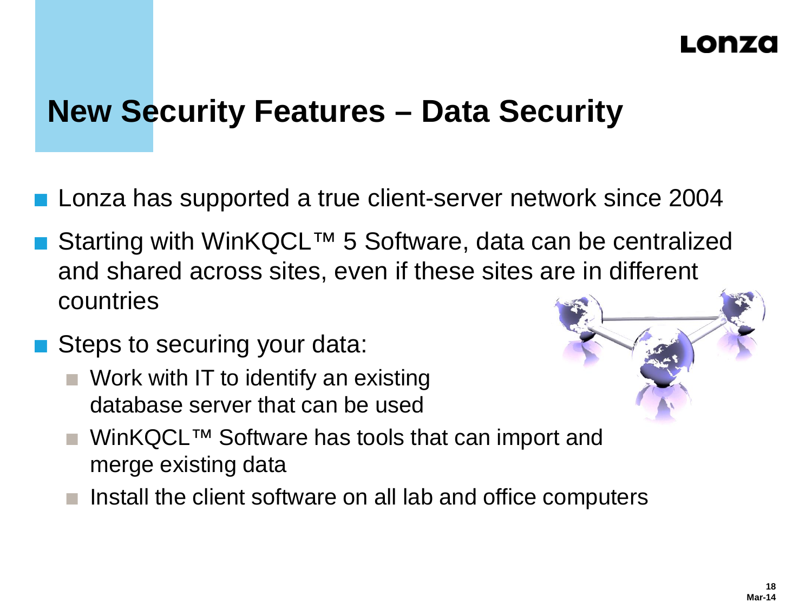# **New Security Features – Data Security**

- Lonza has supported a true client-server network since 2004
- Starting with WinKQCL™ 5 Software, data can be centralized and shared across sites, even if these sites are in different countries
- Steps to securing your data:
	- Work with IT to identify an existing database server that can be used



- WinKQCL™ Software has tools that can import and merge existing data
- Install the client software on all lab and office computers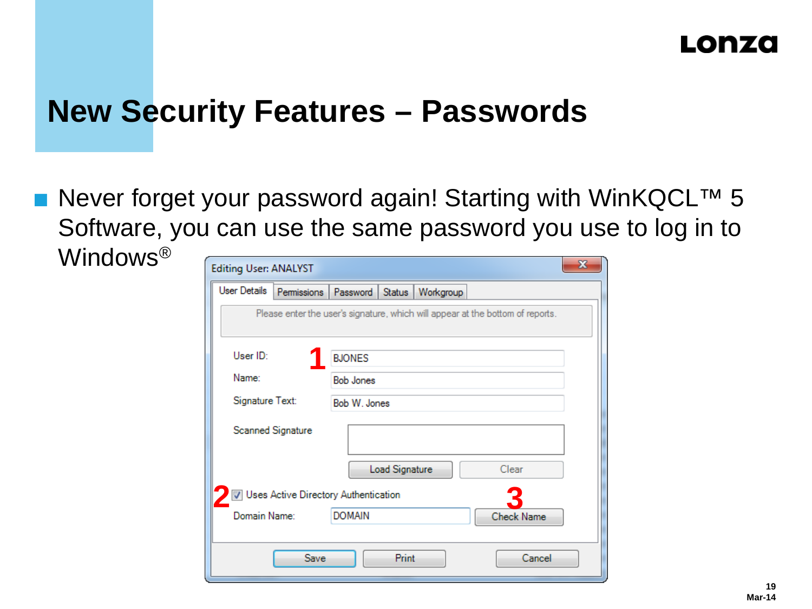# **New Security Features – Passwords**

 Never forget your password again! Starting with WinKQCL™ 5 Software, you can use the same password you use to log in to Windows®

| <b>Editing User: ANALYST</b>                       |                                                                                | x |  |  |  |  |  |  |  |  |  |
|----------------------------------------------------|--------------------------------------------------------------------------------|---|--|--|--|--|--|--|--|--|--|
| <b>User Details</b><br>Permissions                 | Password<br>Status<br>Workgroup                                                |   |  |  |  |  |  |  |  |  |  |
|                                                    | Please enter the user's signature, which will appear at the bottom of reports. |   |  |  |  |  |  |  |  |  |  |
| User ID:                                           | <b>BJONES</b>                                                                  |   |  |  |  |  |  |  |  |  |  |
| Name:                                              | <b>Bob Jones</b>                                                               |   |  |  |  |  |  |  |  |  |  |
| Signature Text:                                    | Bob W. Jones                                                                   |   |  |  |  |  |  |  |  |  |  |
| <b>Scanned Signature</b>                           |                                                                                |   |  |  |  |  |  |  |  |  |  |
|                                                    | Clear<br>Load Signature                                                        |   |  |  |  |  |  |  |  |  |  |
| Uses Active Directory Authentication               |                                                                                |   |  |  |  |  |  |  |  |  |  |
| Domain Name:<br><b>DOMAIN</b><br><b>Check Name</b> |                                                                                |   |  |  |  |  |  |  |  |  |  |
| Print<br>Cancel<br>Save                            |                                                                                |   |  |  |  |  |  |  |  |  |  |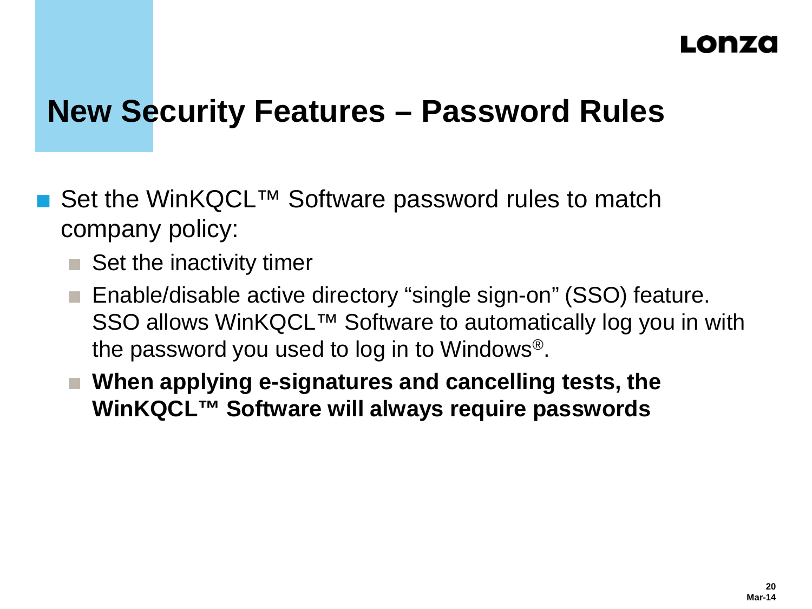# **New Security Features – Password Rules**

- Set the WinKQCL<sup>™</sup> Software password rules to match company policy:
	- $\blacksquare$  Set the inactivity timer
	- Enable/disable active directory "single sign-on" (SSO) feature. SSO allows WinKQCL™ Software to automatically log you in with the password you used to log in to Windows®.
	- When applying e-signatures and cancelling tests, the **WinKQCL™ Software will always require passwords**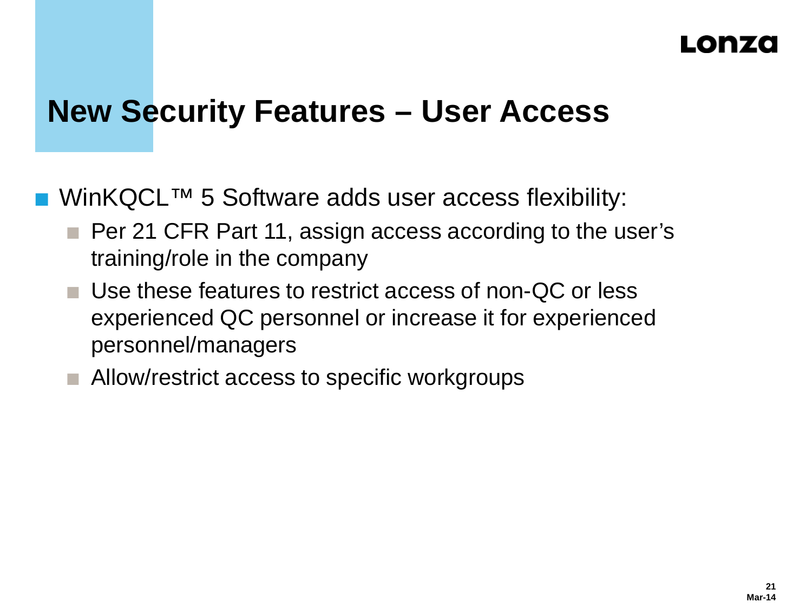## **New Security Features – User Access**

WinKQCL™ 5 Software adds user access flexibility:

- **Per 21 CFR Part 11, assign access according to the user's** training/role in the company
- Use these features to restrict access of non-QC or less experienced QC personnel or increase it for experienced personnel/managers
- Allow/restrict access to specific workgroups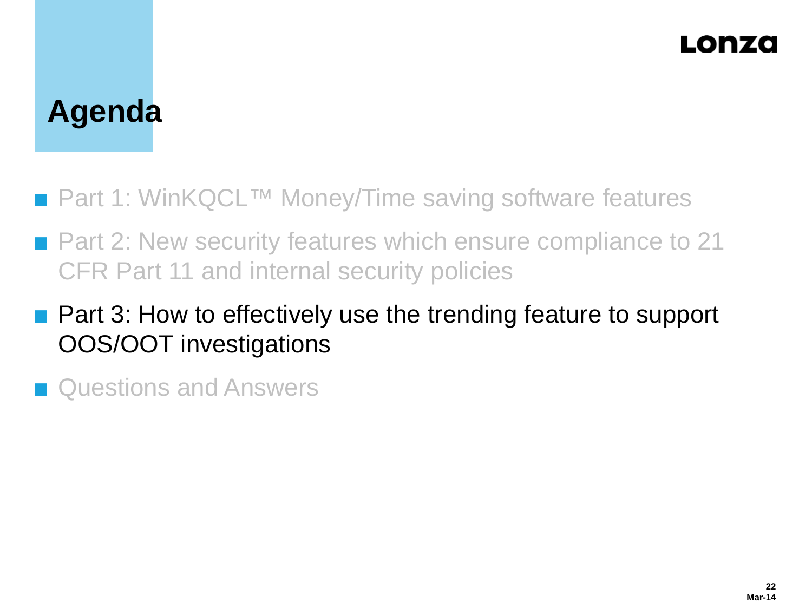### Lonzo

# **Agenda**

- Part 1: WinKQCL<sup>™</sup> Money/Time saving software features
- Part 2: New security features which ensure compliance to 21 CFR Part 11 and internal security policies
- **Part 3: How to effectively use the trending feature to support** OOS/OOT investigations
- **n** Questions and Answers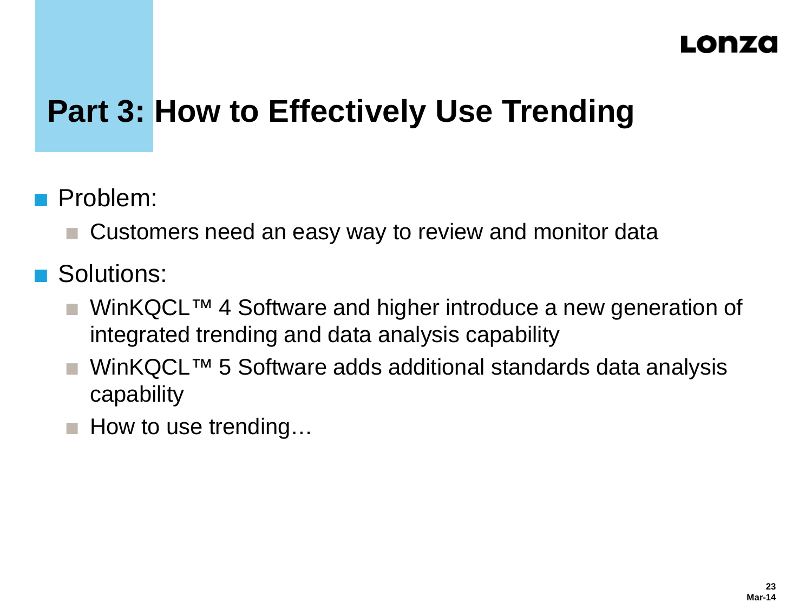# **Part 3: How to Effectively Use Trending**

- **Problem:** 
	- Customers need an easy way to review and monitor data
- **Solutions:** 
	- WinKQCL<sup>™</sup> 4 Software and higher introduce a new generation of integrated trending and data analysis capability
	- WinKQCL™ 5 Software adds additional standards data analysis capability
	- $\blacksquare$  How to use trending...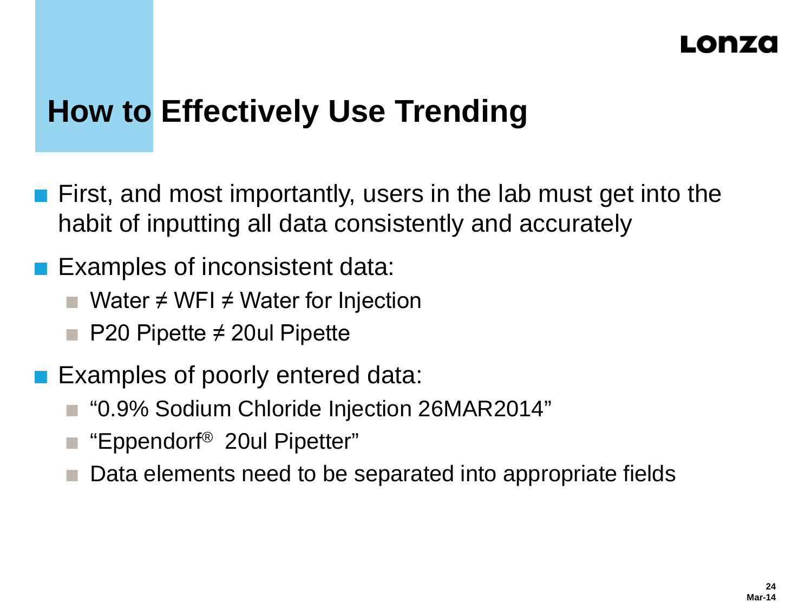# **How to Effectively Use Trending**

- First, and most importantly, users in the lab must get into the habit of inputting all data consistently and accurately
- Examples of inconsistent data:
	- Water ≠ WFI ≠ Water for Injection
	- P20 Pipette ≠ 20ul Pipette
- **Examples of poorly entered data:** 
	- "0.9% Sodium Chloride Injection 26MAR2014"
	- "Eppendorf® 20ul Pipetter"
	- Data elements need to be separated into appropriate fields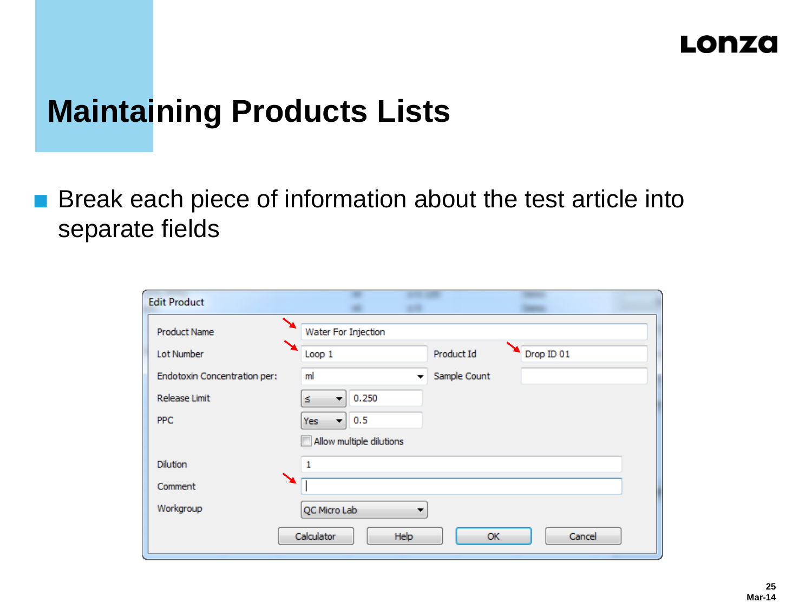# **Maintaining Products Lists**

■ Break each piece of information about the test article into separate fields

| <b>Edit Product</b>                              |  |                          |              |            |  |  |  |  |  |
|--------------------------------------------------|--|--------------------------|--------------|------------|--|--|--|--|--|
| <b>Product Name</b>                              |  | Water For Injection      |              |            |  |  |  |  |  |
| Lot Number                                       |  | Loop 1                   | Product Id   | Drop ID 01 |  |  |  |  |  |
| Endotoxin Concentration per:                     |  | ml<br>۰                  | Sample Count |            |  |  |  |  |  |
| <b>Release Limit</b>                             |  | 0.250<br>Z.<br>۰.        |              |            |  |  |  |  |  |
| PPC.                                             |  | 0.5<br>Yes:<br>۰.        |              |            |  |  |  |  |  |
|                                                  |  | Allow multiple dilutions |              |            |  |  |  |  |  |
| <b>Dilution</b>                                  |  | 1                        |              |            |  |  |  |  |  |
| Comment                                          |  |                          |              |            |  |  |  |  |  |
| Workgroup                                        |  | QC Micro Lab<br>▼        |              |            |  |  |  |  |  |
| <b>Calculator</b><br>Help<br>Cancel<br><b>OK</b> |  |                          |              |            |  |  |  |  |  |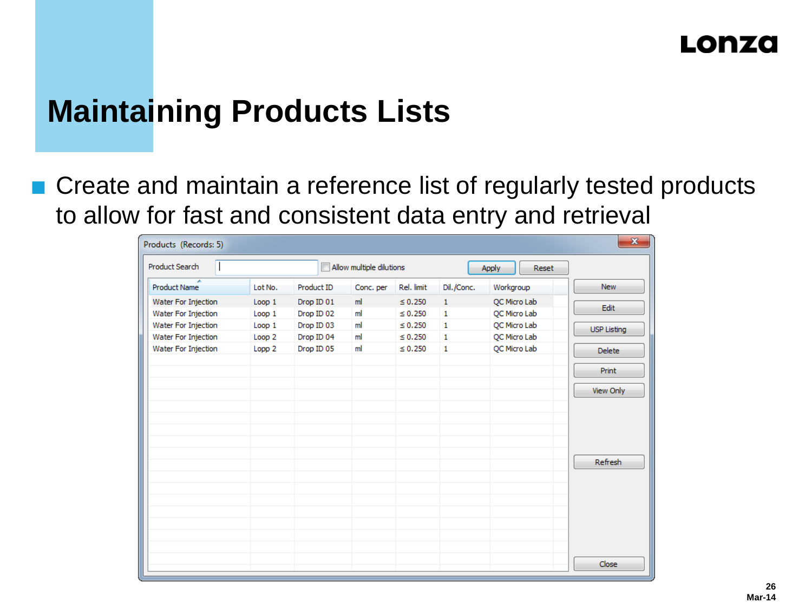# **Maintaining Products Lists**

■ Create and maintain a reference list of regularly tested products to allow for fast and consistent data entry and retrieval

| $\mathbf{x}$<br>Products (Records: 5)      |                             |                          |                          |                              |                   |                              |                    |  |
|--------------------------------------------|-----------------------------|--------------------------|--------------------------|------------------------------|-------------------|------------------------------|--------------------|--|
| Product Search                             |                             |                          | Allow multiple dilutions |                              |                   | Apply<br>Reset               |                    |  |
| ×<br><b>Product Name</b>                   | Lot No.                     | Product ID               | Conc. per                | Rel. limit                   | Dil./Conc.        | Workgroup                    | <b>New</b>         |  |
| Water For Injection<br>Water For Injection | Loop 1<br>Loop 1            | Drop ID 01<br>Drop ID 02 | ml<br>ml                 | $\leq 0.250$<br>$\leq 0.250$ | $\mathbf{1}$<br>1 | QC Micro Lab<br>QC Micro Lab | Edit               |  |
| Water For Injection<br>Water For Injection | Loop 1<br>Loop <sub>2</sub> | Drop ID 03<br>Drop ID 04 | ml<br>ml                 | $\leq 0.250$<br>$\leq 0.250$ | 1<br>1            | QC Micro Lab<br>QC Micro Lab | <b>USP Listing</b> |  |
| Water For Injection                        | Lopp 2                      | Drop ID 05               | ml                       | $\leq 0.250$                 | 1                 | QC Micro Lab                 | <b>Delete</b>      |  |
|                                            |                             |                          |                          |                              |                   |                              | <b>Print</b>       |  |
|                                            |                             |                          |                          |                              |                   |                              | View Only          |  |
|                                            |                             |                          |                          |                              |                   |                              |                    |  |
|                                            |                             |                          |                          |                              |                   |                              |                    |  |
|                                            |                             |                          |                          |                              |                   |                              |                    |  |
|                                            |                             |                          |                          |                              |                   |                              | Refresh            |  |
|                                            |                             |                          |                          |                              |                   |                              |                    |  |
|                                            |                             |                          |                          |                              |                   |                              |                    |  |
|                                            |                             |                          |                          |                              |                   |                              |                    |  |
|                                            |                             |                          |                          |                              |                   |                              |                    |  |
|                                            |                             |                          |                          |                              |                   |                              | Close              |  |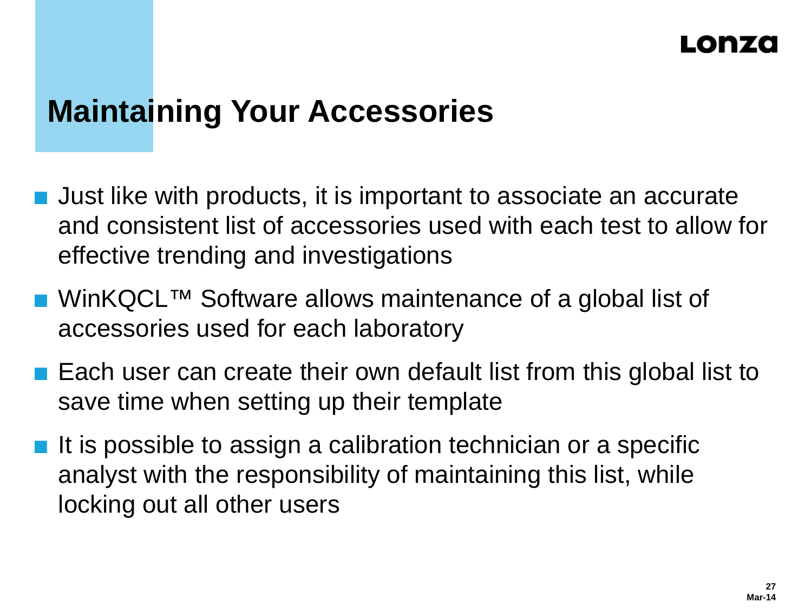# **Maintaining Your Accessories**

- Just like with products, it is important to associate an accurate and consistent list of accessories used with each test to allow for effective trending and investigations
- WinKQCL™ Software allows maintenance of a global list of accessories used for each laboratory
- Each user can create their own default list from this global list to save time when setting up their template
- $\blacksquare$  It is possible to assign a calibration technician or a specific analyst with the responsibility of maintaining this list, while locking out all other users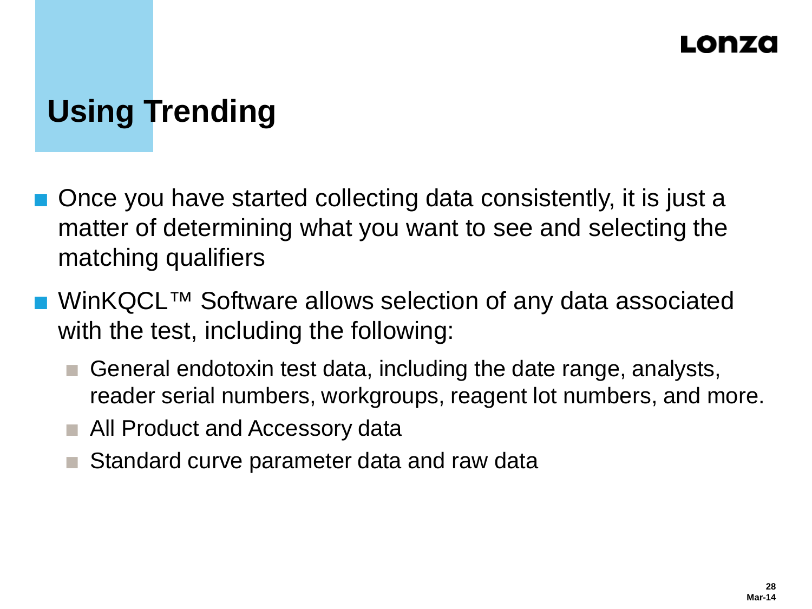# **Using Trending**

- Once you have started collecting data consistently, it is just a matter of determining what you want to see and selecting the matching qualifiers
- WinKQCL™ Software allows selection of any data associated with the test, including the following:
	- General endotoxin test data, including the date range, analysts, reader serial numbers, workgroups, reagent lot numbers, and more.
	- All Product and Accessory data
	- Standard curve parameter data and raw data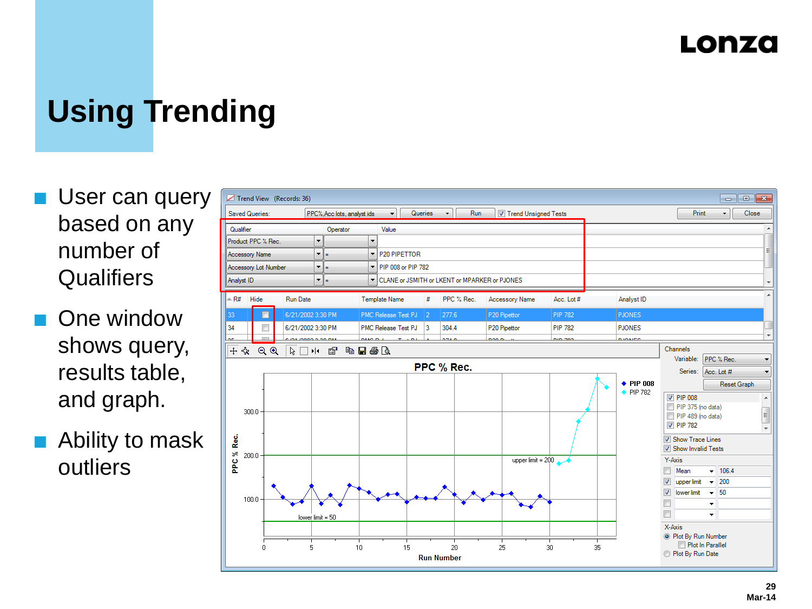# **Using Trending**

- **User can query** based on any number of **Qualifiers**
- One window shows query, results table, and graph.
- Ability to mask outliers

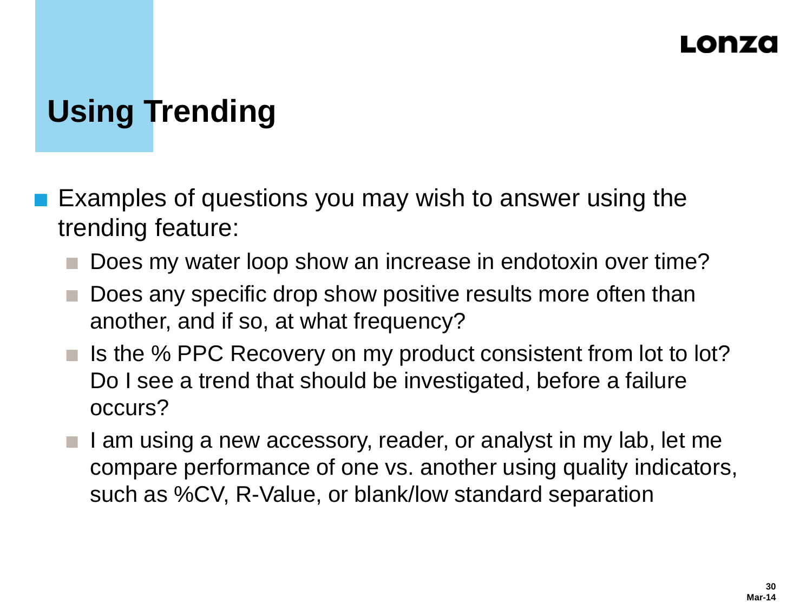# **Using Trending**

- Examples of questions you may wish to answer using the trending feature:
	- Does my water loop show an increase in endotoxin over time?
	- Does any specific drop show positive results more often than another, and if so, at what frequency?
	- $\blacksquare$  Is the % PPC Recovery on my product consistent from lot to lot? Do I see a trend that should be investigated, before a failure occurs?
	- I am using a new accessory, reader, or analyst in my lab, let me compare performance of one vs. another using quality indicators, such as %CV, R-Value, or blank/low standard separation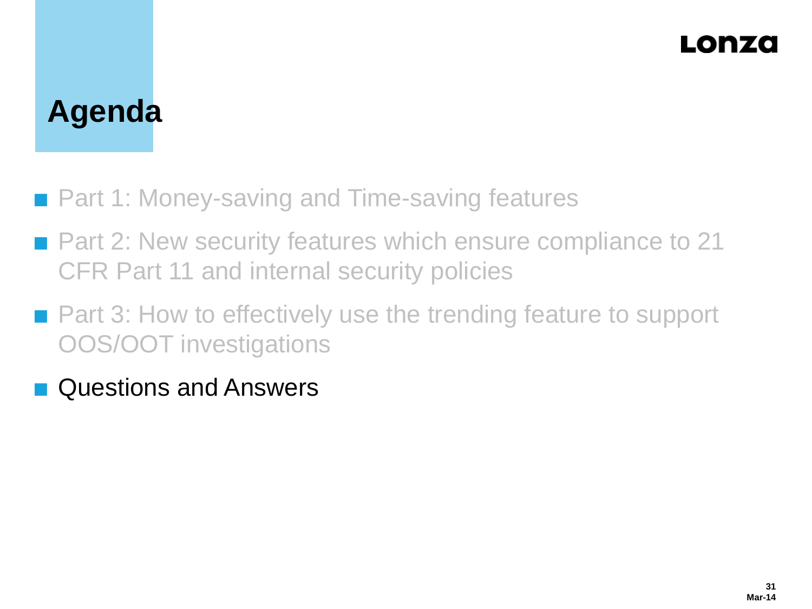# **Agenda**

- Part 1: Money-saving and Time-saving features
- Part 2: New security features which ensure compliance to 21 CFR Part 11 and internal security policies
- Part 3: How to effectively use the trending feature to support OOS/OOT investigations
- **Questions and Answers**